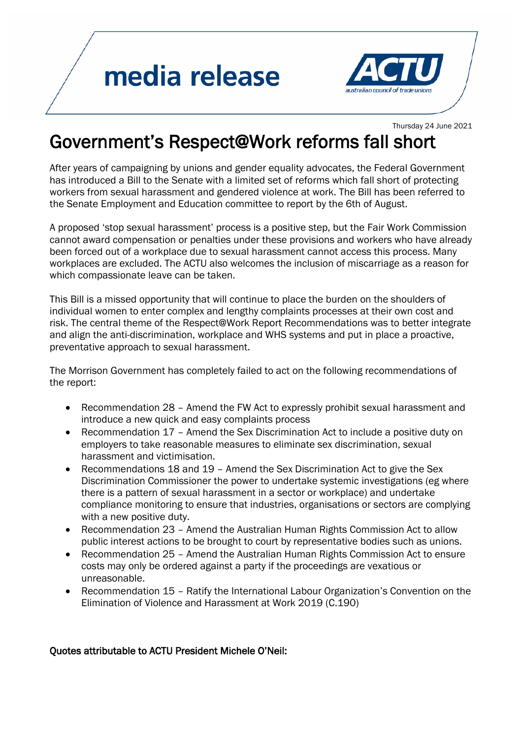## media release



Thursday 24 June 2021

## Government's Respect@Work reforms fall short

After years of campaigning by unions and gender equality advocates, the Federal Government has introduced a Bill to the Senate with a limited set of reforms which fall short of protecting workers from sexual harassment and gendered violence at work. The Bill has been referred to the Senate Employment and Education committee to report by the 6th of August.

A proposed 'stop sexual harassment' process is a positive step, but the Fair Work Commission cannot award compensation or penalties under these provisions and workers who have already been forced out of a workplace due to sexual harassment cannot access this process. Many workplaces are excluded. The ACTU also welcomes the inclusion of miscarriage as a reason for which compassionate leave can be taken.

This Bill is a missed opportunity that will continue to place the burden on the shoulders of individual women to enter complex and lengthy complaints processes at their own cost and risk. The central theme of the Respect@Work Report Recommendations was to better integrate and align the anti-discrimination, workplace and WHS systems and put in place a proactive, preventative approach to sexual harassment.

The Morrison Government has completely failed to act on the following recommendations of the report:

- Recommendation 28 Amend the FW Act to expressly prohibit sexual harassment and introduce a new quick and easy complaints process
- Recommendation 17 Amend the Sex Discrimination Act to include a positive duty on employers to take reasonable measures to eliminate sex discrimination, sexual harassment and victimisation.
- Recommendations 18 and 19 Amend the Sex Discrimination Act to give the Sex Discrimination Commissioner the power to undertake systemic investigations (eg where there is a pattern of sexual harassment in a sector or workplace) and undertake compliance monitoring to ensure that industries, organisations or sectors are complying with a new positive duty.
- Recommendation 23 Amend the Australian Human Rights Commission Act to allow public interest actions to be brought to court by representative bodies such as unions.
- Recommendation 25 Amend the Australian Human Rights Commission Act to ensure costs may only be ordered against a party if the proceedings are vexatious or unreasonable.
- Recommendation 15 Ratify the International Labour Organization's Convention on the Elimination of Violence and Harassment at Work 2019 (C.190)

## Quotes attributable to ACTU President Michele O'Neil: